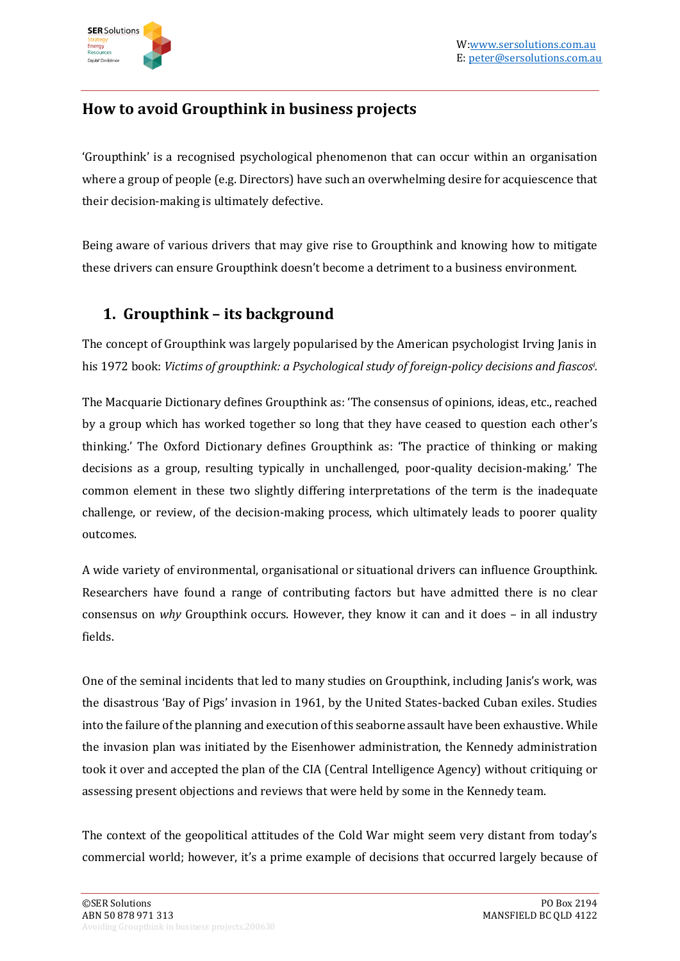

## **How to avoid Groupthink in business projects**

'Groupthink' is a recognised psychological phenomenon that can occur within an organisation where a group of people (e.g. Directors) have such an overwhelming desire for acquiescence that their decision-making is ultimately defective.

Being aware of various drivers that may give rise to Groupthink and knowing how to mitigate these drivers can ensure Groupthink doesn't become a detriment to a business environment.

## **1. Groupthink – its background**

The concept of Groupthink was largely popularised by the American psychologist Irving Janis in his 1972 book: *Victims of groupthink: a Psychological study of foreign-policy decisions and fiascos<sup>i</sup> .* 

The Macquarie Dictionary defines Groupthink as: 'The consensus of opinions, ideas, etc., reached by a group which has worked together so long that they have ceased to question each other's thinking.' The Oxford Dictionary defines Groupthink as: 'The practice of thinking or making decisions as a group, resulting typically in unchallenged, poor-quality decision-making.' The common element in these two slightly differing interpretations of the term is the inadequate challenge, or review, of the decision-making process, which ultimately leads to poorer quality outcomes.

A wide variety of environmental, organisational or situational drivers can influence Groupthink. Researchers have found a range of contributing factors but have admitted there is no clear consensus on *why* Groupthink occurs. However, they know it can and it does – in all industry fields.

One of the seminal incidents that led to many studies on Groupthink, including Janis's work, was the disastrous 'Bay of Pigs' invasion in 1961, by the United States-backed Cuban exiles. Studies into the failure of the planning and execution of this seaborne assault have been exhaustive. While the invasion plan was initiated by the Eisenhower administration, the Kennedy administration took it over and accepted the plan of the CIA (Central Intelligence Agency) without critiquing or assessing present objections and reviews that were held by some in the Kennedy team.

The context of the geopolitical attitudes of the Cold War might seem very distant from today's commercial world; however, it's a prime example of decisions that occurred largely because of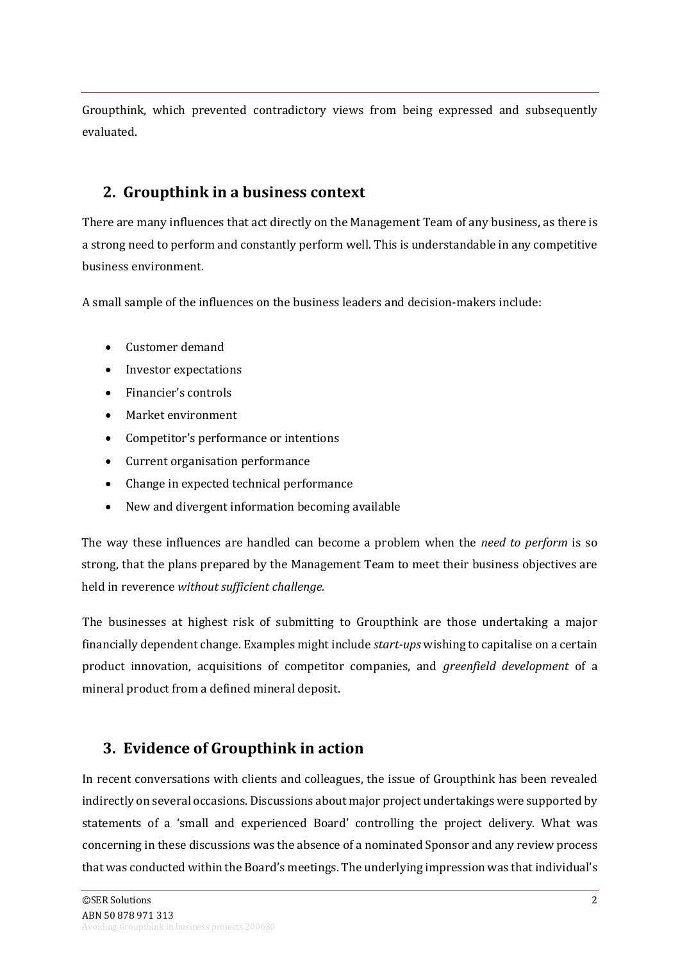Groupthink, which prevented contradictory views from being expressed and subsequently evaluated.

### **2. Groupthink in a business context**

There are many influences that act directly on the Management Team of any business, as there is a strong need to perform and constantly perform well. This is understandable in any competitive business environment.

A small sample of the influences on the business leaders and decision-makers include:

- Customer demand
- Investor expectations
- Financier's controls
- Market environment
- Competitor's performance or intentions
- Current organisation performance
- Change in expected technical performance
- New and divergent information becoming available

The way these influences are handled can become a problem when the *need to perform* is so strong, that the plans prepared by the Management Team to meet their business objectives are held in reverence *without sufficient challenge.*

The businesses at highest risk of submitting to Groupthink are those undertaking a major financially dependent change. Examples might include *start-ups* wishing to capitalise on a certain product innovation, acquisitions of competitor companies, and *greenfield development* of a mineral product from a defined mineral deposit.

# **3. Evidence of Groupthink in action**

In recent conversations with clients and colleagues, the issue of Groupthink has been revealed indirectly on several occasions. Discussions about major project undertakings were supported by statements of a 'small and experienced Board' controlling the project delivery. What was concerning in these discussions was the absence of a nominated Sponsor and any review process that was conducted within the Board's meetings. The underlying impression was that individual's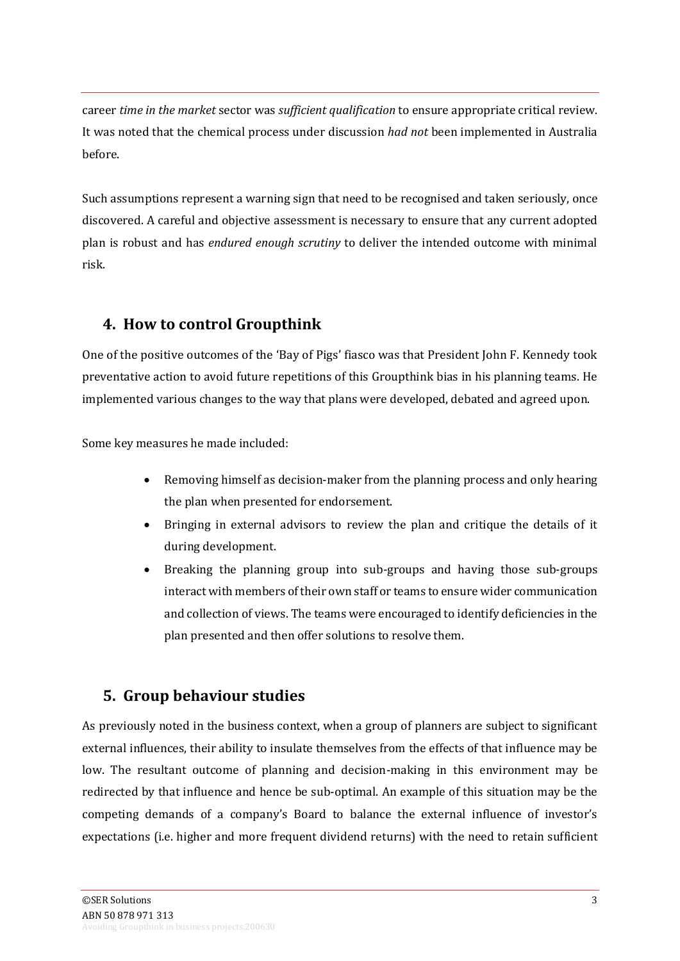career *time in the market* sector was *sufficient qualification* to ensure appropriate critical review. It was noted that the chemical process under discussion *had not* been implemented in Australia before.

Such assumptions represent a warning sign that need to be recognised and taken seriously, once discovered. A careful and objective assessment is necessary to ensure that any current adopted plan is robust and has *endured enough scrutiny* to deliver the intended outcome with minimal risk.

### **4. How to control Groupthink**

One of the positive outcomes of the 'Bay of Pigs' fiasco was that President John F. Kennedy took preventative action to avoid future repetitions of this Groupthink bias in his planning teams. He implemented various changes to the way that plans were developed, debated and agreed upon.

Some key measures he made included:

- Removing himself as decision-maker from the planning process and only hearing the plan when presented for endorsement.
- Bringing in external advisors to review the plan and critique the details of it during development.
- Breaking the planning group into sub-groups and having those sub-groups interact with members of their own staff or teams to ensure wider communication and collection of views. The teams were encouraged to identify deficiencies in the plan presented and then offer solutions to resolve them.

# **5. Group behaviour studies**

As previously noted in the business context, when a group of planners are subject to significant external influences, their ability to insulate themselves from the effects of that influence may be low. The resultant outcome of planning and decision-making in this environment may be redirected by that influence and hence be sub-optimal. An example of this situation may be the competing demands of a company's Board to balance the external influence of investor's expectations (i.e. higher and more frequent dividend returns) with the need to retain sufficient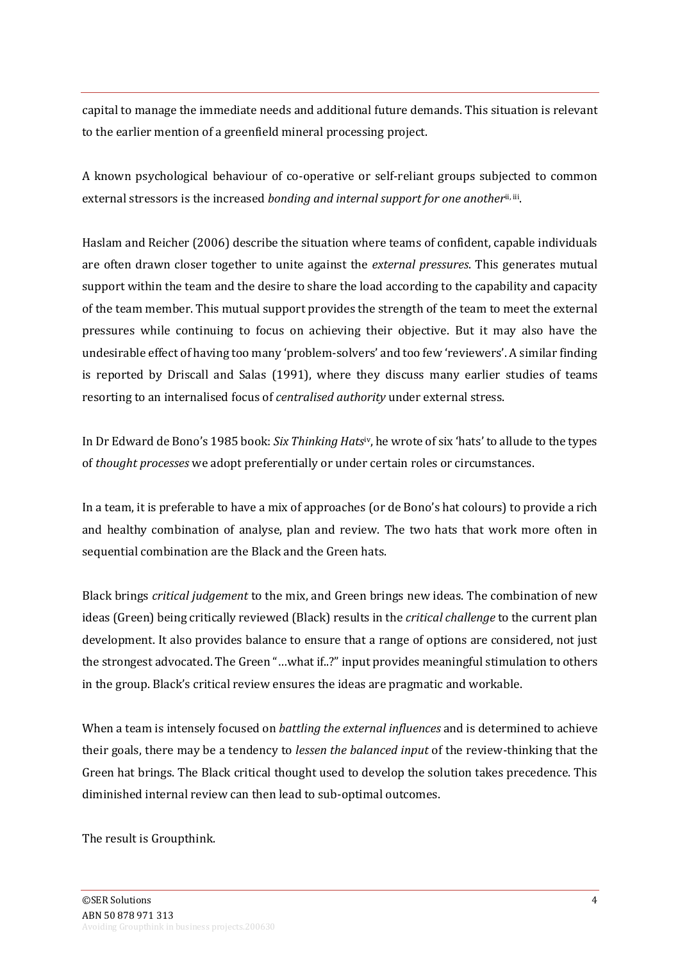capital to manage the immediate needs and additional future demands. This situation is relevant to the earlier mention of a greenfield mineral processing project.

A known psychological behaviour of co-operative or self-reliant groups subjected to common external stressors is the increased *bonding and internal support for one another*<sup>ii, iii</sup>.

Haslam and Reicher (2006) describe the situation where teams of confident, capable individuals are often drawn closer together to unite against the *external pressures*. This generates mutual support within the team and the desire to share the load according to the capability and capacity of the team member. This mutual support provides the strength of the team to meet the external pressures while continuing to focus on achieving their objective. But it may also have the undesirable effect of having too many 'problem-solvers' and too few 'reviewers'. A similar finding is reported by Driscall and Salas (1991), where they discuss many earlier studies of teams resorting to an internalised focus of *centralised authority* under external stress.

In Dr Edward de Bono's 1985 book: *Six Thinking Hats*iv, he wrote of six 'hats' to allude to the types of *thought processes* we adopt preferentially or under certain roles or circumstances.

In a team, it is preferable to have a mix of approaches (or de Bono's hat colours) to provide a rich and healthy combination of analyse, plan and review. The two hats that work more often in sequential combination are the Black and the Green hats.

Black brings *critical judgement* to the mix, and Green brings new ideas. The combination of new ideas (Green) being critically reviewed (Black) results in the *critical challenge* to the current plan development. It also provides balance to ensure that a range of options are considered, not just the strongest advocated. The Green "…what if..?" input provides meaningful stimulation to others in the group. Black's critical review ensures the ideas are pragmatic and workable.

When a team is intensely focused on *battling the external influences* and is determined to achieve their goals, there may be a tendency to *lessen the balanced input* of the review-thinking that the Green hat brings. The Black critical thought used to develop the solution takes precedence. This diminished internal review can then lead to sub-optimal outcomes.

The result is Groupthink.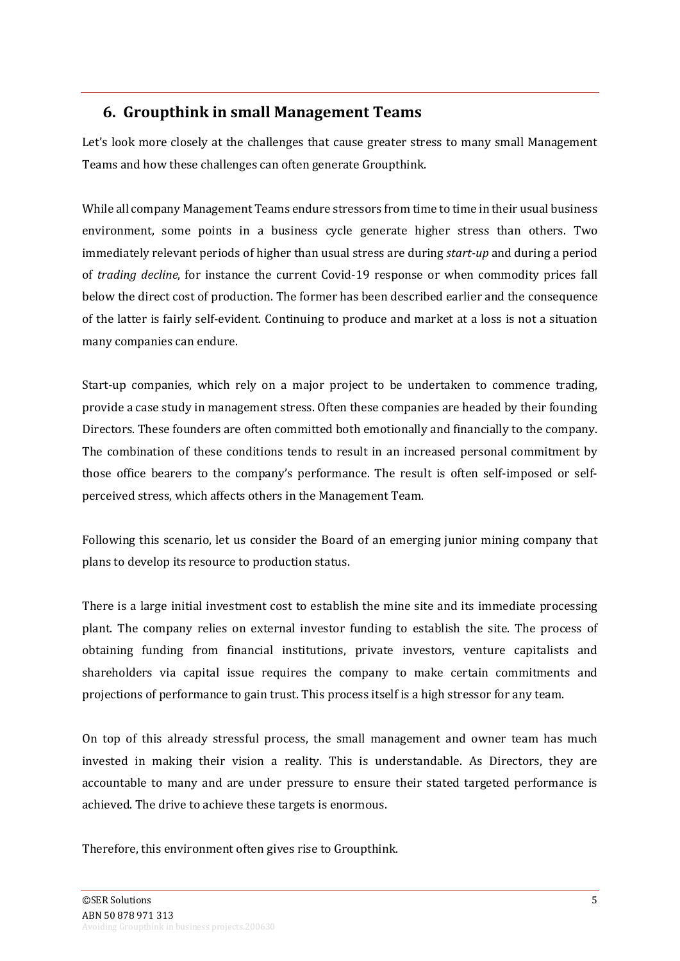#### **6. Groupthink in small Management Teams**

Let's look more closely at the challenges that cause greater stress to many small Management Teams and how these challenges can often generate Groupthink.

While all company Management Teams endure stressors from time to time in their usual business environment, some points in a business cycle generate higher stress than others. Two immediately relevant periods of higher than usual stress are during *start-up* and during a period of *trading decline*, for instance the current Covid-19 response or when commodity prices fall below the direct cost of production. The former has been described earlier and the consequence of the latter is fairly self-evident. Continuing to produce and market at a loss is not a situation many companies can endure.

Start-up companies, which rely on a major project to be undertaken to commence trading, provide a case study in management stress. Often these companies are headed by their founding Directors. These founders are often committed both emotionally and financially to the company. The combination of these conditions tends to result in an increased personal commitment by those office bearers to the company's performance. The result is often self-imposed or selfperceived stress, which affects others in the Management Team.

Following this scenario, let us consider the Board of an emerging junior mining company that plans to develop its resource to production status.

There is a large initial investment cost to establish the mine site and its immediate processing plant. The company relies on external investor funding to establish the site. The process of obtaining funding from financial institutions, private investors, venture capitalists and shareholders via capital issue requires the company to make certain commitments and projections of performance to gain trust. This process itself is a high stressor for any team.

On top of this already stressful process, the small management and owner team has much invested in making their vision a reality. This is understandable. As Directors, they are accountable to many and are under pressure to ensure their stated targeted performance is achieved. The drive to achieve these targets is enormous.

Therefore, this environment often gives rise to Groupthink.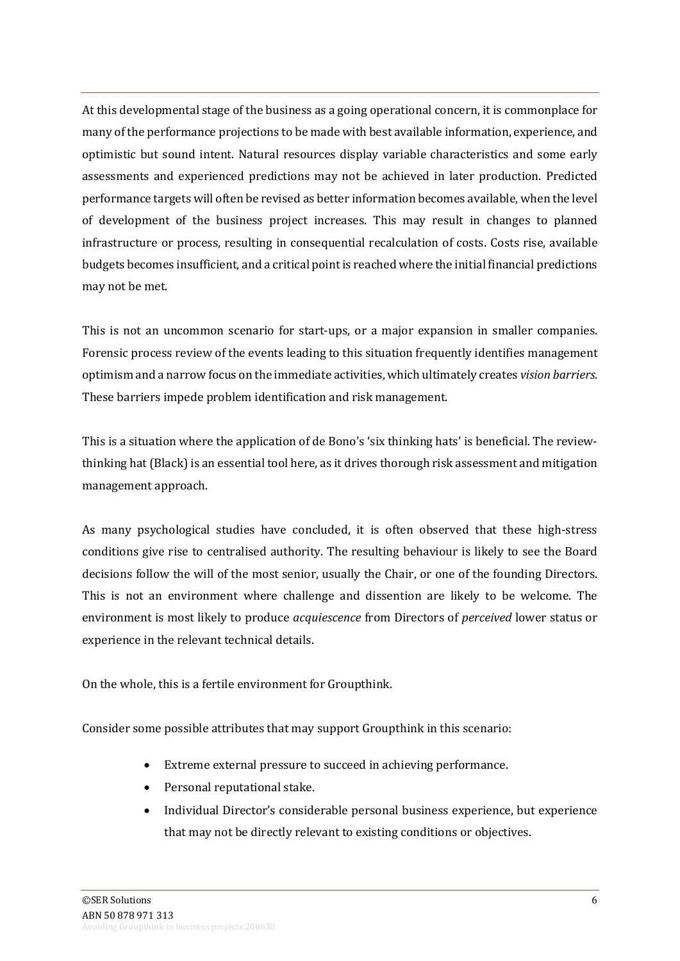At this developmental stage of the business as a going operational concern, it is commonplace for many of the performance projections to be made with best available information, experience, and optimistic but sound intent. Natural resources display variable characteristics and some early assessments and experienced predictions may not be achieved in later production. Predicted performance targets will often be revised as better information becomes available, when the level of development of the business project increases. This may result in changes to planned infrastructure or process, resulting in consequential recalculation of costs. Costs rise, available budgets becomes insufficient, and a critical point is reached where the initial financial predictions may not be met.

This is not an uncommon scenario for start-ups, or a major expansion in smaller companies. Forensic process review of the events leading to this situation frequently identifies management optimism and a narrow focus on the immediate activities, which ultimately creates *vision barriers*. These barriers impede problem identification and risk management.

This is a situation where the application of de Bono's 'six thinking hats' is beneficial. The reviewthinking hat (Black) is an essential tool here, as it drives thorough risk assessment and mitigation management approach.

As many psychological studies have concluded, it is often observed that these high-stress conditions give rise to centralised authority. The resulting behaviour is likely to see the Board decisions follow the will of the most senior, usually the Chair, or one of the founding Directors. This is not an environment where challenge and dissention are likely to be welcome. The environment is most likely to produce *acquiescence* from Directors of *perceived* lower status or experience in the relevant technical details.

On the whole, this is a fertile environment for Groupthink.

Consider some possible attributes that may support Groupthink in this scenario:

- Extreme external pressure to succeed in achieving performance.
- Personal reputational stake.
- Individual Director's considerable personal business experience, but experience that may not be directly relevant to existing conditions or objectives.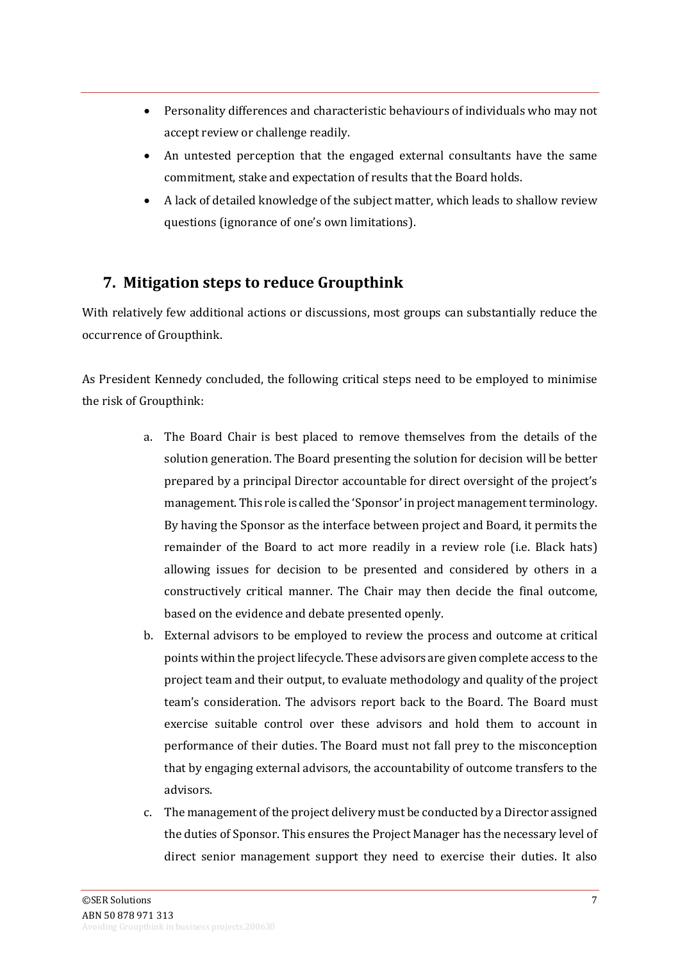- Personality differences and characteristic behaviours of individuals who may not accept review or challenge readily.
- An untested perception that the engaged external consultants have the same commitment, stake and expectation of results that the Board holds.
- A lack of detailed knowledge of the subject matter, which leads to shallow review questions (ignorance of one's own limitations).

# **7. Mitigation steps to reduce Groupthink**

With relatively few additional actions or discussions, most groups can substantially reduce the occurrence of Groupthink.

As President Kennedy concluded, the following critical steps need to be employed to minimise the risk of Groupthink:

- a. The Board Chair is best placed to remove themselves from the details of the solution generation. The Board presenting the solution for decision will be better prepared by a principal Director accountable for direct oversight of the project's management. This role is called the 'Sponsor' in project management terminology. By having the Sponsor as the interface between project and Board, it permits the remainder of the Board to act more readily in a review role (i.e. Black hats) allowing issues for decision to be presented and considered by others in a constructively critical manner. The Chair may then decide the final outcome, based on the evidence and debate presented openly.
- b. External advisors to be employed to review the process and outcome at critical points within the project lifecycle. These advisors are given complete access to the project team and their output, to evaluate methodology and quality of the project team's consideration. The advisors report back to the Board. The Board must exercise suitable control over these advisors and hold them to account in performance of their duties. The Board must not fall prey to the misconception that by engaging external advisors, the accountability of outcome transfers to the advisors.
- c. The management of the project delivery must be conducted by a Director assigned the duties of Sponsor. This ensures the Project Manager has the necessary level of direct senior management support they need to exercise their duties. It also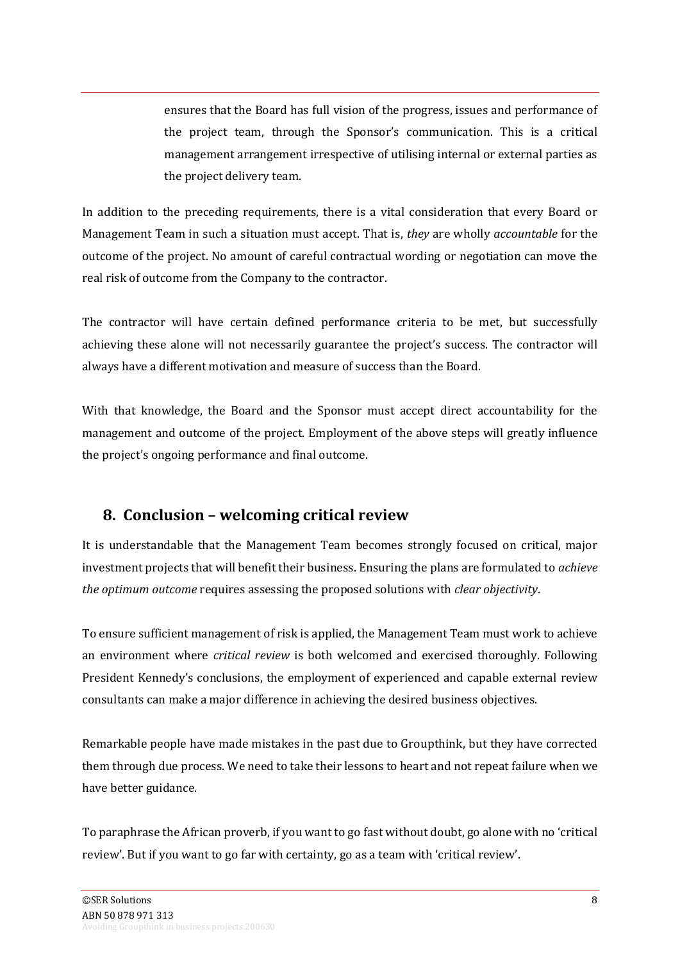ensures that the Board has full vision of the progress, issues and performance of the project team, through the Sponsor's communication. This is a critical management arrangement irrespective of utilising internal or external parties as the project delivery team.

In addition to the preceding requirements, there is a vital consideration that every Board or Management Team in such a situation must accept. That is, *they* are wholly *accountable* for the outcome of the project. No amount of careful contractual wording or negotiation can move the real risk of outcome from the Company to the contractor.

The contractor will have certain defined performance criteria to be met, but successfully achieving these alone will not necessarily guarantee the project's success. The contractor will always have a different motivation and measure of success than the Board.

With that knowledge, the Board and the Sponsor must accept direct accountability for the management and outcome of the project. Employment of the above steps will greatly influence the project's ongoing performance and final outcome.

#### **8. Conclusion – welcoming critical review**

It is understandable that the Management Team becomes strongly focused on critical, major investment projects that will benefit their business. Ensuring the plans are formulated to *achieve the optimum outcome* requires assessing the proposed solutions with *clear objectivity*.

To ensure sufficient management of risk is applied, the Management Team must work to achieve an environment where *critical review* is both welcomed and exercised thoroughly. Following President Kennedy's conclusions, the employment of experienced and capable external review consultants can make a major difference in achieving the desired business objectives.

Remarkable people have made mistakes in the past due to Groupthink, but they have corrected them through due process. We need to take their lessons to heart and not repeat failure when we have better guidance.

To paraphrase the African proverb, if you want to go fast without doubt, go alone with no 'critical review'. But if you want to go far with certainty, go as a team with 'critical review'.